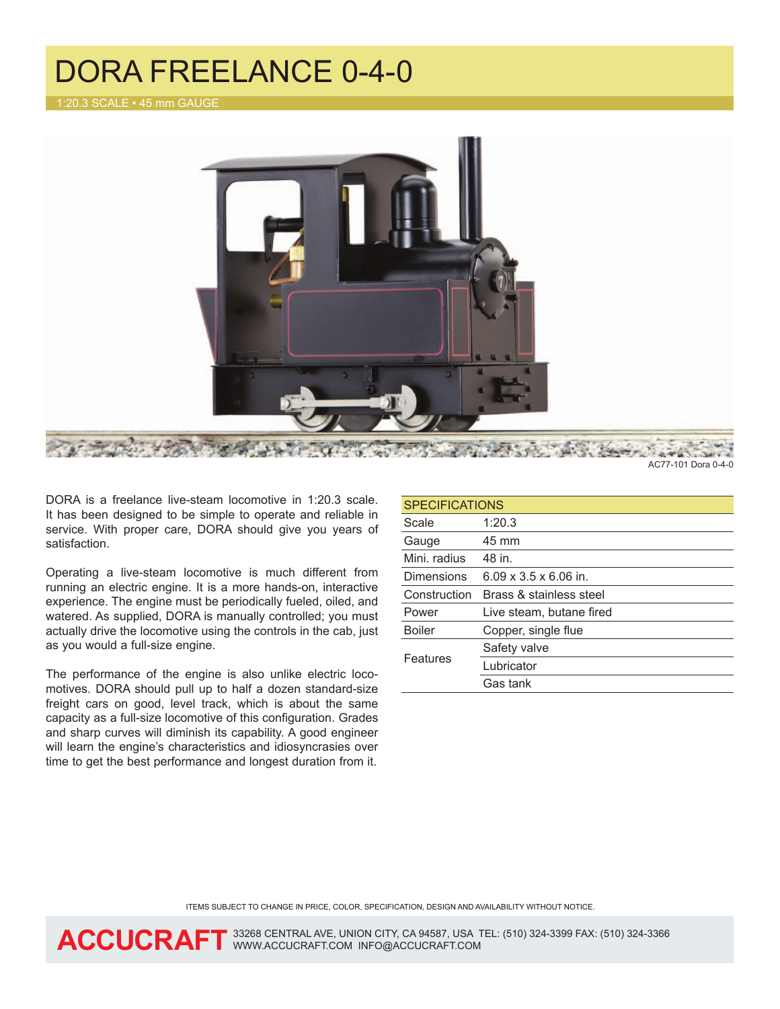## DORA FREELANCE 0-4-0



AC77-101 Dora 0-4-0

DORA is a freelance live-steam locomotive in 1:20.3 scale. It has been designed to be simple to operate and reliable in service. With proper care, DORA should give you years of satisfaction.

Operating a live-steam locomotive is much different from running an electric engine. It is a more hands-on, interactive experience. The engine must be periodically fueled, oiled, and watered. As supplied, DORA is manually controlled; you must actually drive the locomotive using the controls in the cab, just as you would a full-size engine.

The performance of the engine is also unlike electric locomotives. DORA should pull up to half a dozen standard-size freight cars on good, level track, which is about the same capacity as a full-size locomotive of this configuration. Grades and sharp curves will diminish its capability. A good engineer will learn the engine's characteristics and idiosyncrasies over time to get the best performance and longest duration from it.

| <b>SPECIFICATIONS</b> |                                   |
|-----------------------|-----------------------------------|
| Scale                 | 1:20.3                            |
| Gauge                 | 45 mm                             |
| Mini, radius          | 48 in.                            |
| <b>Dimensions</b>     | $6.09 \times 3.5 \times 6.06$ in. |
| Construction          | Brass & stainless steel           |
| Power                 | Live steam, butane fired          |
| <b>Boiler</b>         | Copper, single flue               |
| Features              | Safety valve                      |
|                       | Lubricator                        |
|                       | Gas tank                          |

items subject to change in price, color, specification, design and availability without notice.

ACCUCRAFT 33268 CENTRAL AVE, UNION CITY, CA 94587, USA TEL: (510) 324-3399 FAX: (510) 324-3366 **ACCUCRAFT** www.ACCUCRAFT.COM INFO@ACCUCRAFT.COM